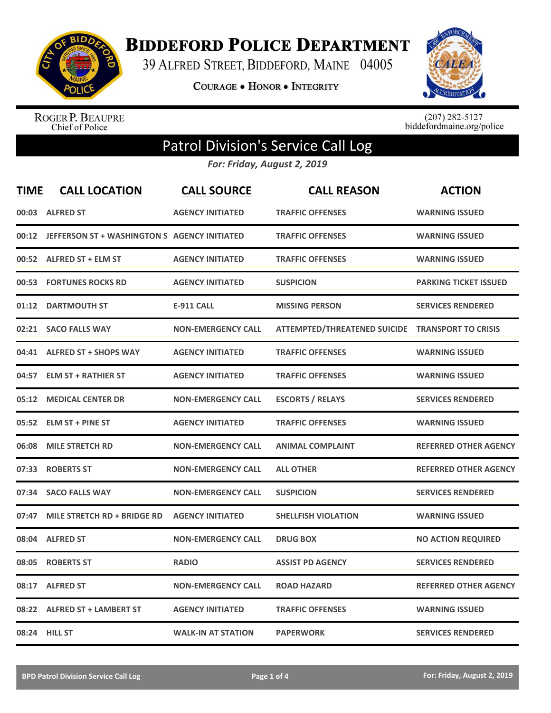

**BIDDEFORD POLICE DEPARTMENT** 

39 ALFRED STREET, BIDDEFORD, MAINE 04005

COURAGE . HONOR . INTEGRITY



ROGER P. BEAUPRE<br>Chief of Police

 $(207)$  282-5127<br>biddefordmaine.org/police

## Patrol Division's Service Call Log

*For: Friday, August 2, 2019*

| <b>TIME</b> | <b>CALL LOCATION</b>                               | <b>CALL SOURCE</b>        | <b>CALL REASON</b>                               | <b>ACTION</b>                |
|-------------|----------------------------------------------------|---------------------------|--------------------------------------------------|------------------------------|
|             | 00:03 ALFRED ST                                    | <b>AGENCY INITIATED</b>   | <b>TRAFFIC OFFENSES</b>                          | <b>WARNING ISSUED</b>        |
|             | 00:12 JEFFERSON ST + WASHINGTON S AGENCY INITIATED |                           | <b>TRAFFIC OFFENSES</b>                          | <b>WARNING ISSUED</b>        |
|             | 00:52 ALFRED ST + ELM ST                           | <b>AGENCY INITIATED</b>   | <b>TRAFFIC OFFENSES</b>                          | <b>WARNING ISSUED</b>        |
| 00:53       | <b>FORTUNES ROCKS RD</b>                           | <b>AGENCY INITIATED</b>   | <b>SUSPICION</b>                                 | <b>PARKING TICKET ISSUED</b> |
| 01:12       | <b>DARTMOUTH ST</b>                                | <b>E-911 CALL</b>         | <b>MISSING PERSON</b>                            | <b>SERVICES RENDERED</b>     |
| 02:21       | <b>SACO FALLS WAY</b>                              | <b>NON-EMERGENCY CALL</b> | ATTEMPTED/THREATENED SUICIDE TRANSPORT TO CRISIS |                              |
|             | 04:41 ALFRED ST + SHOPS WAY                        | <b>AGENCY INITIATED</b>   | <b>TRAFFIC OFFENSES</b>                          | <b>WARNING ISSUED</b>        |
| 04:57       | <b>ELM ST + RATHIER ST</b>                         | <b>AGENCY INITIATED</b>   | <b>TRAFFIC OFFENSES</b>                          | <b>WARNING ISSUED</b>        |
| 05:12       | <b>MEDICAL CENTER DR</b>                           | <b>NON-EMERGENCY CALL</b> | <b>ESCORTS / RELAYS</b>                          | <b>SERVICES RENDERED</b>     |
|             | 05:52 ELM ST + PINE ST                             | <b>AGENCY INITIATED</b>   | <b>TRAFFIC OFFENSES</b>                          | <b>WARNING ISSUED</b>        |
| 06:08       | <b>MILE STRETCH RD</b>                             | <b>NON-EMERGENCY CALL</b> | <b>ANIMAL COMPLAINT</b>                          | <b>REFERRED OTHER AGENCY</b> |
| 07:33       | <b>ROBERTS ST</b>                                  | <b>NON-EMERGENCY CALL</b> | <b>ALL OTHER</b>                                 | <b>REFERRED OTHER AGENCY</b> |
| 07:34       | <b>SACO FALLS WAY</b>                              | <b>NON-EMERGENCY CALL</b> | <b>SUSPICION</b>                                 | <b>SERVICES RENDERED</b>     |
| 07:47       | MILE STRETCH RD + BRIDGE RD                        | <b>AGENCY INITIATED</b>   | <b>SHELLFISH VIOLATION</b>                       | <b>WARNING ISSUED</b>        |
| 08:04       | <b>ALFRED ST</b>                                   | <b>NON-EMERGENCY CALL</b> | <b>DRUG BOX</b>                                  | <b>NO ACTION REQUIRED</b>    |
| 08:05       | <b>ROBERTS ST</b>                                  | <b>RADIO</b>              | <b>ASSIST PD AGENCY</b>                          | <b>SERVICES RENDERED</b>     |
| 08:17       | <b>ALFRED ST</b>                                   | <b>NON-EMERGENCY CALL</b> | <b>ROAD HAZARD</b>                               | <b>REFERRED OTHER AGENCY</b> |
|             | 08:22 ALFRED ST + LAMBERT ST                       | <b>AGENCY INITIATED</b>   | <b>TRAFFIC OFFENSES</b>                          | <b>WARNING ISSUED</b>        |
|             | 08:24 HILL ST                                      | <b>WALK-IN AT STATION</b> | <b>PAPERWORK</b>                                 | <b>SERVICES RENDERED</b>     |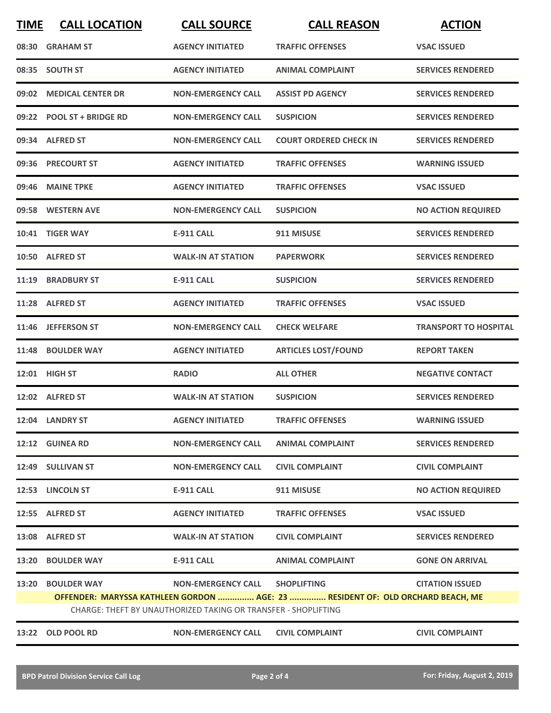| <b>TIME</b> | <b>CALL LOCATION</b>                                                                                                                             | <b>CALL SOURCE</b>        | <b>CALL REASON</b>            | <b>ACTION</b>                |  |
|-------------|--------------------------------------------------------------------------------------------------------------------------------------------------|---------------------------|-------------------------------|------------------------------|--|
|             | 08:30 GRAHAM ST                                                                                                                                  | <b>AGENCY INITIATED</b>   | <b>TRAFFIC OFFENSES</b>       | <b>VSAC ISSUED</b>           |  |
|             | 08:35 SOUTH ST                                                                                                                                   | <b>AGENCY INITIATED</b>   | <b>ANIMAL COMPLAINT</b>       | <b>SERVICES RENDERED</b>     |  |
|             | 09:02 MEDICAL CENTER DR                                                                                                                          | <b>NON-EMERGENCY CALL</b> | <b>ASSIST PD AGENCY</b>       | <b>SERVICES RENDERED</b>     |  |
|             | 09:22 POOL ST + BRIDGE RD                                                                                                                        | <b>NON-EMERGENCY CALL</b> | <b>SUSPICION</b>              | <b>SERVICES RENDERED</b>     |  |
|             | 09:34 ALFRED ST                                                                                                                                  | <b>NON-EMERGENCY CALL</b> | <b>COURT ORDERED CHECK IN</b> | <b>SERVICES RENDERED</b>     |  |
|             | 09:36 PRECOURT ST                                                                                                                                | <b>AGENCY INITIATED</b>   | <b>TRAFFIC OFFENSES</b>       | <b>WARNING ISSUED</b>        |  |
| 09:46       | <b>MAINE TPKE</b>                                                                                                                                | <b>AGENCY INITIATED</b>   | <b>TRAFFIC OFFENSES</b>       | <b>VSAC ISSUED</b>           |  |
|             | 09:58 WESTERN AVE                                                                                                                                | <b>NON-EMERGENCY CALL</b> | <b>SUSPICION</b>              | <b>NO ACTION REQUIRED</b>    |  |
| 10:41       | <b>TIGER WAY</b>                                                                                                                                 | <b>E-911 CALL</b>         | 911 MISUSE                    | <b>SERVICES RENDERED</b>     |  |
|             | 10:50 ALFRED ST                                                                                                                                  | <b>WALK-IN AT STATION</b> | <b>PAPERWORK</b>              | <b>SERVICES RENDERED</b>     |  |
|             | 11:19 BRADBURY ST                                                                                                                                | <b>E-911 CALL</b>         | <b>SUSPICION</b>              | <b>SERVICES RENDERED</b>     |  |
|             | 11:28 ALFRED ST                                                                                                                                  | <b>AGENCY INITIATED</b>   | <b>TRAFFIC OFFENSES</b>       | <b>VSAC ISSUED</b>           |  |
|             | 11:46 JEFFERSON ST                                                                                                                               | <b>NON-EMERGENCY CALL</b> | <b>CHECK WELFARE</b>          | <b>TRANSPORT TO HOSPITAL</b> |  |
| 11:48       | <b>BOULDER WAY</b>                                                                                                                               | <b>AGENCY INITIATED</b>   | <b>ARTICLES LOST/FOUND</b>    | <b>REPORT TAKEN</b>          |  |
|             | 12:01 HIGH ST                                                                                                                                    | <b>RADIO</b>              | <b>ALL OTHER</b>              | <b>NEGATIVE CONTACT</b>      |  |
|             | 12:02 ALFRED ST                                                                                                                                  | <b>WALK-IN AT STATION</b> | <b>SUSPICION</b>              | <b>SERVICES RENDERED</b>     |  |
|             | 12:04 LANDRY ST                                                                                                                                  | <b>AGENCY INITIATED</b>   | <b>TRAFFIC OFFENSES</b>       | <b>WARNING ISSUED</b>        |  |
|             | 12:12 GUINEA RD                                                                                                                                  | <b>NON-EMERGENCY CALL</b> | <b>ANIMAL COMPLAINT</b>       | <b>SERVICES RENDERED</b>     |  |
|             | 12:49 SULLIVAN ST                                                                                                                                | <b>NON-EMERGENCY CALL</b> | <b>CIVIL COMPLAINT</b>        | <b>CIVIL COMPLAINT</b>       |  |
|             | 12:53 LINCOLN ST                                                                                                                                 | <b>E-911 CALL</b>         | 911 MISUSE                    | <b>NO ACTION REQUIRED</b>    |  |
|             | 12:55 ALFRED ST                                                                                                                                  | <b>AGENCY INITIATED</b>   | <b>TRAFFIC OFFENSES</b>       | <b>VSAC ISSUED</b>           |  |
|             | 13:08 ALFRED ST                                                                                                                                  | <b>WALK-IN AT STATION</b> | <b>CIVIL COMPLAINT</b>        | <b>SERVICES RENDERED</b>     |  |
|             | 13:20 BOULDER WAY                                                                                                                                | E-911 CALL                | <b>ANIMAL COMPLAINT</b>       | <b>GONE ON ARRIVAL</b>       |  |
| 13:20       | <b>BOULDER WAY</b>                                                                                                                               | <b>NON-EMERGENCY CALL</b> | <b>SHOPLIFTING</b>            | <b>CITATION ISSUED</b>       |  |
|             | OFFENDER: MARYSSA KATHLEEN GORDON  AGE: 23  RESIDENT OF: OLD ORCHARD BEACH, ME<br>CHARGE: THEFT BY UNAUTHORIZED TAKING OR TRANSFER - SHOPLIFTING |                           |                               |                              |  |
| 13:22       | OLD POOL RD                                                                                                                                      | <b>NON-EMERGENCY CALL</b> | <b>CIVIL COMPLAINT</b>        | <b>CIVIL COMPLAINT</b>       |  |
|             |                                                                                                                                                  |                           |                               |                              |  |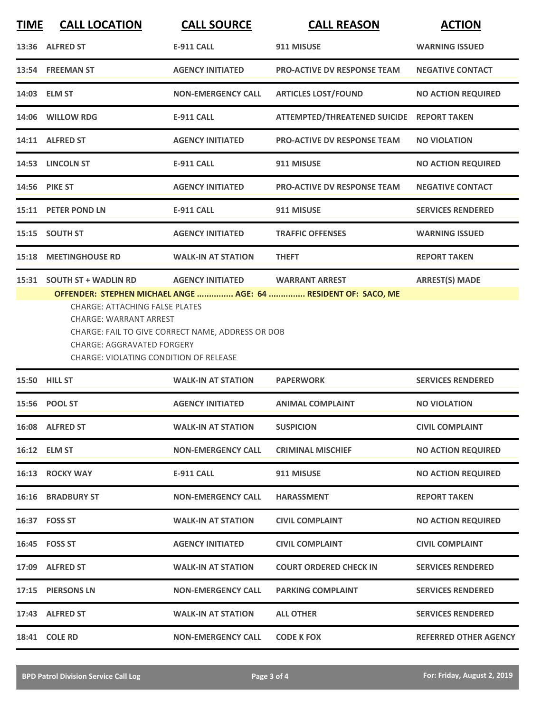| <b>TIME</b> | <b>CALL LOCATION</b>                                                                         | <b>CALL SOURCE</b>        | <b>CALL REASON</b>                  | <b>ACTION</b>                |
|-------------|----------------------------------------------------------------------------------------------|---------------------------|-------------------------------------|------------------------------|
|             | 13:36 ALFRED ST                                                                              | <b>E-911 CALL</b>         | 911 MISUSE                          | <b>WARNING ISSUED</b>        |
|             | 13:54 FREEMAN ST                                                                             | <b>AGENCY INITIATED</b>   | <b>PRO-ACTIVE DV RESPONSE TEAM</b>  | <b>NEGATIVE CONTACT</b>      |
|             | 14:03 ELM ST                                                                                 | <b>NON-EMERGENCY CALL</b> | <b>ARTICLES LOST/FOUND</b>          | <b>NO ACTION REQUIRED</b>    |
|             | 14:06 WILLOW RDG                                                                             | <b>E-911 CALL</b>         | <b>ATTEMPTED/THREATENED SUICIDE</b> | <b>REPORT TAKEN</b>          |
|             | 14:11 ALFRED ST                                                                              | <b>AGENCY INITIATED</b>   | <b>PRO-ACTIVE DV RESPONSE TEAM</b>  | <b>NO VIOLATION</b>          |
|             | 14:53 LINCOLN ST                                                                             | <b>E-911 CALL</b>         | 911 MISUSE                          | <b>NO ACTION REQUIRED</b>    |
|             | 14:56 PIKE ST                                                                                | <b>AGENCY INITIATED</b>   | <b>PRO-ACTIVE DV RESPONSE TEAM</b>  | <b>NEGATIVE CONTACT</b>      |
| 15:11       | <b>PETER POND LN</b>                                                                         | <b>E-911 CALL</b>         | 911 MISUSE                          | <b>SERVICES RENDERED</b>     |
| 15:15       | <b>SOUTH ST</b>                                                                              | <b>AGENCY INITIATED</b>   | <b>TRAFFIC OFFENSES</b>             | <b>WARNING ISSUED</b>        |
| 15:18       | <b>MEETINGHOUSE RD</b>                                                                       | <b>WALK-IN AT STATION</b> | <b>THEFT</b>                        | <b>REPORT TAKEN</b>          |
| 15:31       | <b>SOUTH ST + WADLIN RD</b>                                                                  | <b>AGENCY INITIATED</b>   | <b>WARRANT ARREST</b>               | <b>ARREST(S) MADE</b>        |
|             | <b>CHARGE: AGGRAVATED FORGERY</b><br>CHARGE: VIOLATING CONDITION OF RELEASE<br>15:50 HILL ST | <b>WALK-IN AT STATION</b> | <b>PAPERWORK</b>                    | <b>SERVICES RENDERED</b>     |
|             | <b>POOL ST</b>                                                                               |                           |                                     |                              |
| 15:56       |                                                                                              | <b>AGENCY INITIATED</b>   | <b>ANIMAL COMPLAINT</b>             | <b>NO VIOLATION</b>          |
|             | 16:08 ALFRED ST                                                                              | <b>WALK-IN AT STATION</b> | <b>SUSPICION</b>                    | <b>CIVIL COMPLAINT</b>       |
|             | 16:12 ELM ST                                                                                 | <b>NON-EMERGENCY CALL</b> | <b>CRIMINAL MISCHIEF</b>            | <b>NO ACTION REQUIRED</b>    |
|             | 16:13 ROCKY WAY                                                                              | <b>E-911 CALL</b>         | 911 MISUSE                          | <b>NO ACTION REQUIRED</b>    |
|             | <b>16:16 BRADBURY ST</b>                                                                     | <b>NON-EMERGENCY CALL</b> | <b>HARASSMENT</b>                   | <b>REPORT TAKEN</b>          |
|             | 16:37 FOSS ST                                                                                | <b>WALK-IN AT STATION</b> | <b>CIVIL COMPLAINT</b>              | <b>NO ACTION REQUIRED</b>    |
|             | 16:45 FOSS ST                                                                                | <b>AGENCY INITIATED</b>   | <b>CIVIL COMPLAINT</b>              | <b>CIVIL COMPLAINT</b>       |
|             | 17:09 ALFRED ST                                                                              | <b>WALK-IN AT STATION</b> | <b>COURT ORDERED CHECK IN</b>       | <b>SERVICES RENDERED</b>     |
|             | 17:15 PIERSONS LN                                                                            | <b>NON-EMERGENCY CALL</b> | <b>PARKING COMPLAINT</b>            | <b>SERVICES RENDERED</b>     |
|             | 17:43 ALFRED ST                                                                              | <b>WALK-IN AT STATION</b> | <b>ALL OTHER</b>                    | <b>SERVICES RENDERED</b>     |
|             | 18:41 COLE RD                                                                                | <b>NON-EMERGENCY CALL</b> | <b>CODE K FOX</b>                   | <b>REFERRED OTHER AGENCY</b> |